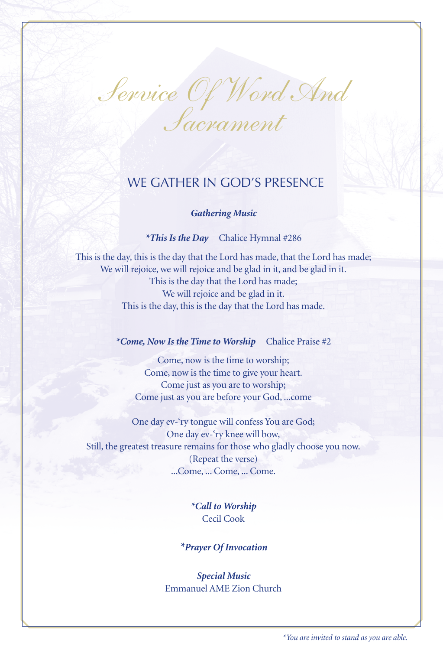*Service Of Word And Sacrament*

## WE GATHER IN GOD'S PRESENCE

### *Gathering Music*

*\*This Is the Day* Chalice Hymnal #286

This is the day, this is the day that the Lord has made, that the Lord has made; We will rejoice, we will rejoice and be glad in it, and be glad in it. This is the day that the Lord has made; We will rejoice and be glad in it. This is the day, this is the day that the Lord has made.

### *\*Come, Now Is the Time to Worship* Chalice Praise #2

Come, now is the time to worship; Come, now is the time to give your heart. Come just as you are to worship; Come just as you are before your God, ...come

One day ev-'ry tongue will confess You are God; One day ev-'ry knee will bow, Still, the greatest treasure remains for those who gladly choose you now. (Repeat the verse) ...Come, ... Come, ... Come.

> *\*Call to Worship* Cecil Cook

### *\*Prayer Of Invocation*

*Special Music* Emmanuel AME Zion Church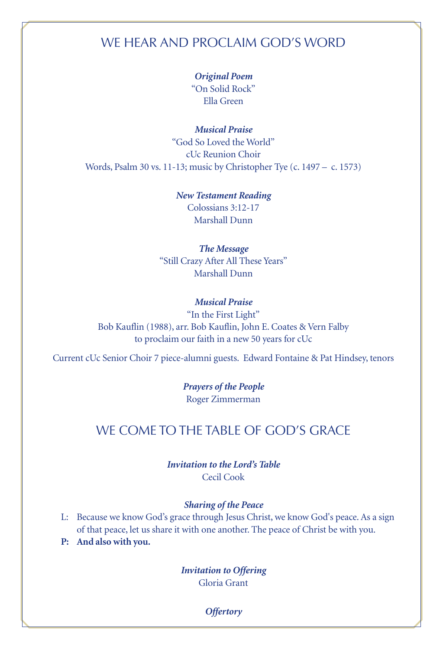# WE HEAR AND PROCLAIM GOD'S WORD

*Original Poem* "On Solid Rock" Ella Green

*Musical Praise* "God So Loved the World" cUc Reunion Choir Words, Psalm 30 vs. 11-13; music by Christopher Tye (c. 1497 – c. 1573)

> *New Testament Reading* Colossians 3:12-17 Marshall Dunn

*The Message* "Still Crazy After All These Years" Marshall Dunn

#### *Musical Praise*

"In the First Light" Bob Kauflin (1988), arr. Bob Kauflin, John E. Coates & Vern Falby to proclaim our faith in a new 50 years for cUc

Current cUc Senior Choir 7 piece-alumni guests. Edward Fontaine & Pat Hindsey, tenors

*Prayers of the People* Roger Zimmerman

# WE COME TO THE TABLE OF GOD'S GRACE

*Invitation to the Lord's Table* Cecil Cook

#### *Sharing of the Peace*

L: Because we know God's grace through Jesus Christ, we know God's peace. As a sign of that peace, let us share it with one another. The peace of Christ be with you.

**P: And also with you.**

*Invitation to Offering* Gloria Grant

*Offertory*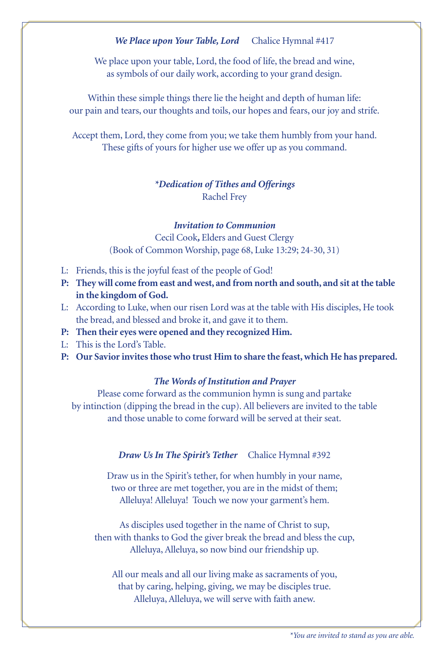## *We Place upon Your Table, Lord* Chalice Hymnal #417

We place upon your table, Lord, the food of life, the bread and wine, as symbols of our daily work, according to your grand design.

Within these simple things there lie the height and depth of human life: our pain and tears, our thoughts and toils, our hopes and fears, our joy and strife.

Accept them, Lord, they come from you; we take them humbly from your hand. These gifts of yours for higher use we offer up as you command.

## *\*Dedication of Tithes and Offerings* Rachel Frey

### *Invitation to Communion*

Cecil Cook*,* Elders and Guest Clergy (Book of Common Worship, page 68, Luke 13:29; 24-30, 31)

- L: Friends, this is the joyful feast of the people of God!
- **P: They will come from east and west, and from north and south, and sit at the table in the kingdom of God.**
- L: According to Luke, when our risen Lord was at the table with His disciples, He took the bread, and blessed and broke it, and gave it to them.
- **P: Then their eyes were opened and they recognized Him.**
- L: This is the Lord's Table.
- **P: Our Saviorinvitesthose who trust Him to share the feast,which He has prepared.**

## *The Words of Institution and Prayer*

Please come forward as the communion hymn is sung and partake by intinction (dipping the bread in the cup). All believers are invited to the table and those unable to come forward will be served at their seat.

## *Draw Us In The Spirit's Tether* Chalice Hymnal #392

Draw us in the Spirit's tether, for when humbly in your name, two or three are met together, you are in the midst of them; Alleluya! Alleluya! Touch we now your garment's hem.

As disciples used together in the name of Christ to sup, then with thanks to God the giver break the bread and bless the cup, Alleluya, Alleluya, so now bind our friendship up.

All our meals and all our living make as sacraments of you, that by caring, helping, giving, we may be disciples true. Alleluya, Alleluya, we will serve with faith anew.